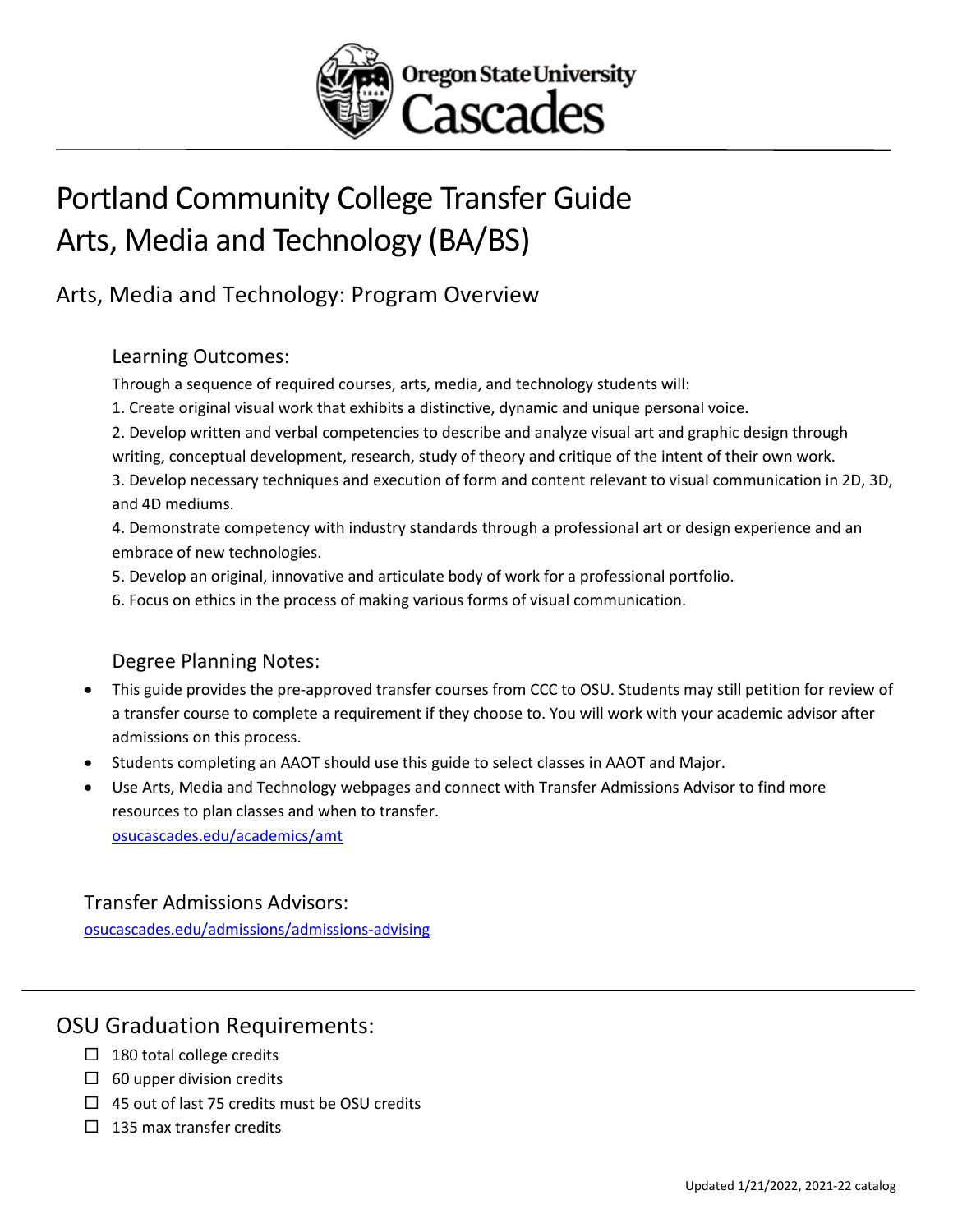

# Portland Community College Transfer Guide Arts, Media and Technology (BA/BS)

## Arts, Media and Technology: Program Overview

#### Learning Outcomes:

Through a sequence of required courses, arts, media, and technology students will:

- 1. Create original visual work that exhibits a distinctive, dynamic and unique personal voice.
- 2. Develop written and verbal competencies to describe and analyze visual art and graphic design through writing, conceptual development, research, study of theory and critique of the intent of their own work.

3. Develop necessary techniques and execution of form and content relevant to visual communication in 2D, 3D, and 4D mediums.

4. Demonstrate competency with industry standards through a professional art or design experience and an embrace of new technologies.

- 5. Develop an original, innovative and articulate body of work for a professional portfolio.
- 6. Focus on ethics in the process of making various forms of visual communication.

## Degree Planning Notes:

- This guide provides the pre-approved transfer courses from CCC to OSU. Students may still petition for review of a transfer course to complete a requirement if they choose to. You will work with your academic advisor after admissions on this process.
- Students completing an AAOT should use this guide to select classes in AAOT and Major.
- Use Arts, Media and Technology webpages and connect with Transfer Admissions Advisor to find more resources to plan classes and when to transfer. [osucascades.edu/academics/amt](https://osucascades.edu/academics/amt)

#### Transfer Admissions Advisors:

[osucascades.edu/admissions/admissions-advising](https://osucascades.edu/admissions/admissions-advising)

## OSU Graduation Requirements:

- $\Box$  180 total college credits
- $\Box$  60 upper division credits
- $\Box$  45 out of last 75 credits must be OSU credits
- $\Box$  135 max transfer credits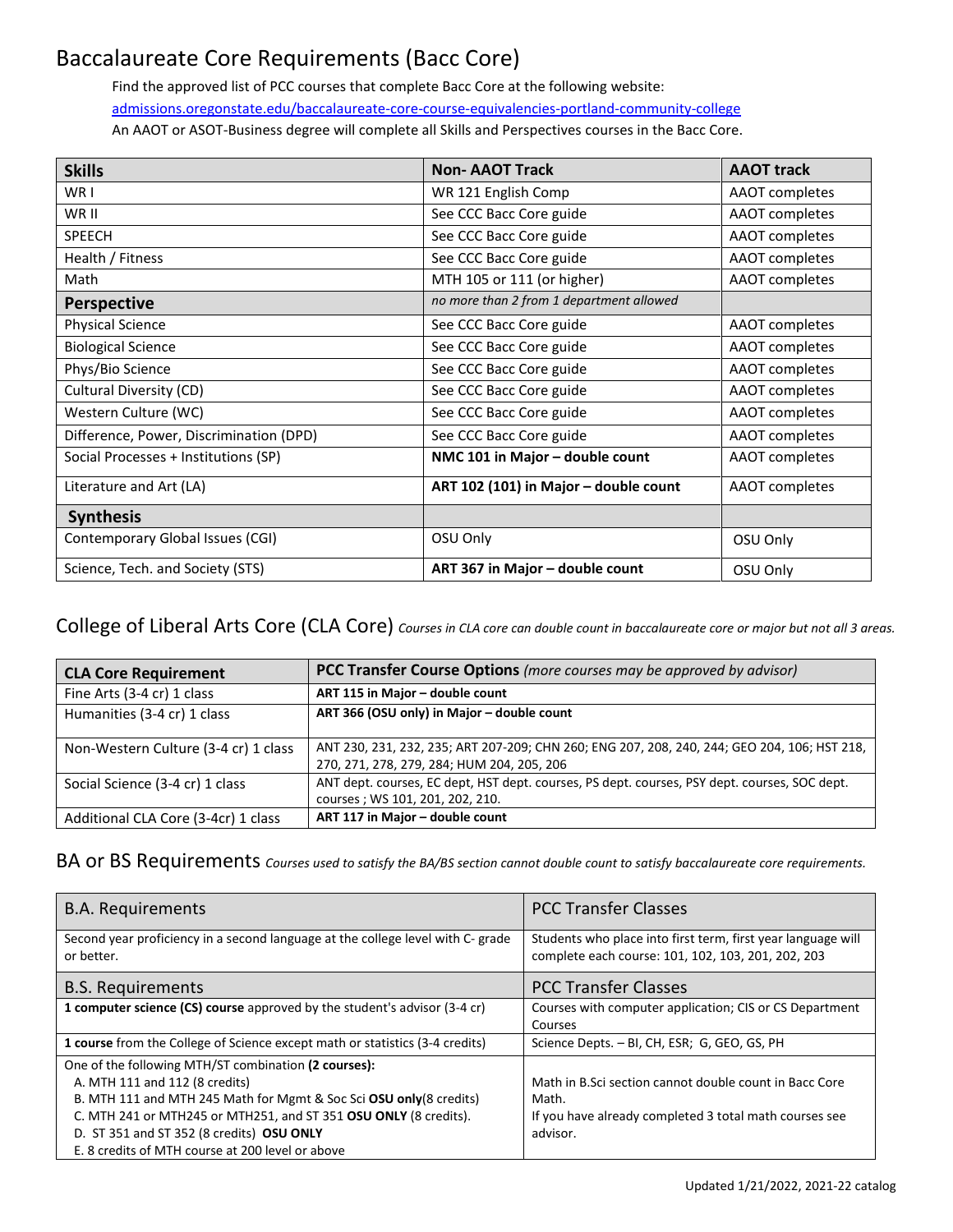## Baccalaureate Core Requirements (Bacc Core)

Find the approved list of PCC courses that complete Bacc Core at the following website: [admissions.oregonstate.edu/baccalaureate-core-course-equivalencies-portland-community-college](https://admissions.oregonstate.edu/baccalaureate-core-course-equivalencies-portland-community-college) An AAOT or ASOT-Business degree will complete all Skills and Perspectives courses in the Bacc Core.

| <b>Skills</b>                           | <b>Non-AAOT Track</b>                    | <b>AAOT track</b> |
|-----------------------------------------|------------------------------------------|-------------------|
| WR I                                    | WR 121 English Comp                      | AAOT completes    |
| WR II                                   | See CCC Bacc Core guide                  | AAOT completes    |
| <b>SPEECH</b>                           | See CCC Bacc Core guide                  | AAOT completes    |
| Health / Fitness                        | See CCC Bacc Core guide                  | AAOT completes    |
| Math                                    | MTH 105 or 111 (or higher)               | AAOT completes    |
| <b>Perspective</b>                      | no more than 2 from 1 department allowed |                   |
| <b>Physical Science</b>                 | See CCC Bacc Core guide                  | AAOT completes    |
| <b>Biological Science</b>               | See CCC Bacc Core guide                  | AAOT completes    |
| Phys/Bio Science                        | See CCC Bacc Core guide                  | AAOT completes    |
| Cultural Diversity (CD)                 | See CCC Bacc Core guide                  | AAOT completes    |
| Western Culture (WC)                    | See CCC Bacc Core guide                  | AAOT completes    |
| Difference, Power, Discrimination (DPD) | See CCC Bacc Core guide                  | AAOT completes    |
| Social Processes + Institutions (SP)    | NMC 101 in Major - double count          | AAOT completes    |
| Literature and Art (LA)                 | ART 102 (101) in Major - double count    | AAOT completes    |
| <b>Synthesis</b>                        |                                          |                   |
| Contemporary Global Issues (CGI)        | OSU Only                                 | OSU Only          |
| Science, Tech. and Society (STS)        | ART 367 in Major - double count          | OSU Only          |

College of Liberal Arts Core (CLA Core) *Courses in CLA core can double count in baccalaureate core or major but not all 3 areas.*

| <b>CLA Core Requirement</b>          | <b>PCC Transfer Course Options</b> (more courses may be approved by advisor)                                                               |
|--------------------------------------|--------------------------------------------------------------------------------------------------------------------------------------------|
| Fine Arts (3-4 cr) 1 class           | ART 115 in Major - double count                                                                                                            |
| Humanities (3-4 cr) 1 class          | ART 366 (OSU only) in Major - double count                                                                                                 |
| Non-Western Culture (3-4 cr) 1 class | ANT 230, 231, 232, 235; ART 207-209; CHN 260; ENG 207, 208, 240, 244; GEO 204, 106; HST 218,<br>270, 271, 278, 279, 284; HUM 204, 205, 206 |
| Social Science (3-4 cr) 1 class      | ANT dept. courses, EC dept, HST dept. courses, PS dept. courses, PSY dept. courses, SOC dept.<br>courses; WS 101, 201, 202, 210.           |
| Additional CLA Core (3-4cr) 1 class  | ART 117 in Major - double count                                                                                                            |

BA or BS Requirements *Courses used to satisfy the BA/BS section cannot double count to satisfy baccalaureate core requirements.* 

| <b>B.A. Requirements</b>                                                                                                                                                                                                                                                                                                           | <b>PCC Transfer Classes</b>                                                                                                           |
|------------------------------------------------------------------------------------------------------------------------------------------------------------------------------------------------------------------------------------------------------------------------------------------------------------------------------------|---------------------------------------------------------------------------------------------------------------------------------------|
| Second year proficiency in a second language at the college level with C- grade<br>or better.                                                                                                                                                                                                                                      | Students who place into first term, first year language will<br>complete each course: 101, 102, 103, 201, 202, 203                    |
| <b>B.S. Requirements</b>                                                                                                                                                                                                                                                                                                           | <b>PCC Transfer Classes</b>                                                                                                           |
| 1 computer science (CS) course approved by the student's advisor (3-4 cr)                                                                                                                                                                                                                                                          | Courses with computer application; CIS or CS Department<br>Courses                                                                    |
| <b>1 course</b> from the College of Science except math or statistics (3-4 credits)                                                                                                                                                                                                                                                | Science Depts. - BI, CH, ESR; G, GEO, GS, PH                                                                                          |
| One of the following MTH/ST combination (2 courses):<br>A. MTH 111 and 112 (8 credits)<br>B. MTH 111 and MTH 245 Math for Mgmt & Soc Sci OSU only (8 credits)<br>C. MTH 241 or MTH245 or MTH251, and ST 351 OSU ONLY (8 credits).<br>D. ST 351 and ST 352 (8 credits) OSU ONLY<br>E. 8 credits of MTH course at 200 level or above | Math in B.Sci section cannot double count in Bacc Core<br>Math.<br>If you have already completed 3 total math courses see<br>advisor. |